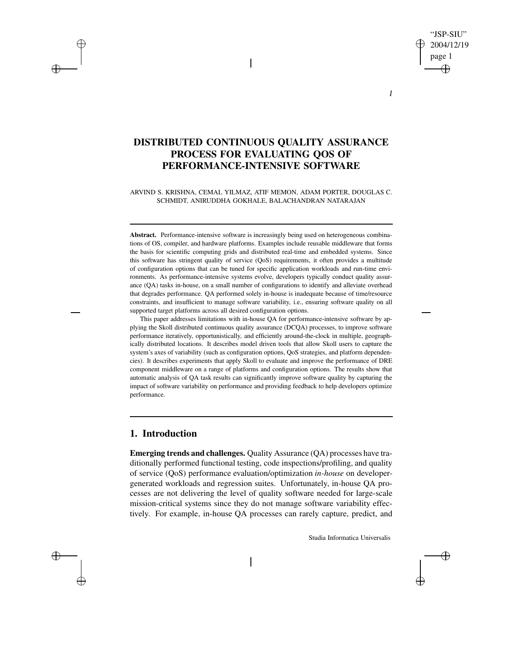# "JSP-SIU" 2004/12/19 page 1

1

# **DISTRIBUTED CONTINUOUS QUALITY ASSURANCE PROCESS FOR EVALUATING QOS OF PERFORMANCE-INTENSIVE SOFTWARE**

 $\overline{\phantom{a}}$ 

ARVIND S. KRISHNA, CEMAL YILMAZ, ATIF MEMON, ADAM PORTER, DOUGLAS C. SCHMIDT, ANIRUDDHA GOKHALE, BALACHANDRAN NATARAJAN

Abstract. Performance-intensive software is increasingly being used on heterogeneous combinations of OS, compiler, and hardware platforms. Examples include reusable middleware that forms the basis for scientific computing grids and distributed real-time and embedded systems. Since this software has stringent quality of service (QoS) requirements, it often provides a multitude of configuration options that can be tuned for specific application workloads and run-time environments. As performance-intensive systems evolve, developers typically conduct quality assurance (QA) tasks in-house, on a small number of configurations to identify and alleviate overhead that degrades performance. QA performed solely in-house is inadequate because of time/resource constraints, and insufficient to manage software variability, i.e., ensuring software quality on all supported target platforms across all desired configuration options.

This paper addresses limitations with in-house QA for performance-intensive software by applying the Skoll distributed continuous quality assurance (DCQA) processes, to improve software performance iteratively, opportunistically, and efficiently around-the-clock in multiple, geographically distributed locations. It describes model driven tools that allow Skoll users to capture the system's axes of variability (such as configuration options, QoS strategies, and platform dependencies). It describes experiments that apply Skoll to evaluate and improve the performance of DRE component middleware on a range of platforms and configuration options. The results show that automatic analysis of QA task results can significantly improve software quality by capturing the impact of software variability on performance and providing feedback to help developers optimize performance.

## **1. Introduction**

**Emerging trends and challenges.** Quality Assurance (QA) processes have traditionally performed functional testing, code inspections/profiling, and quality of service (QoS) performance evaluation/optimization *in-house* on developergenerated workloads and regression suites. Unfortunately, in-house QA processes are not delivering the level of quality software needed for large-scale mission-critical systems since they do not manage software variability effectively. For example, in-house QA processes can rarely capture, predict, and

Studia Informatica Universalis

⊕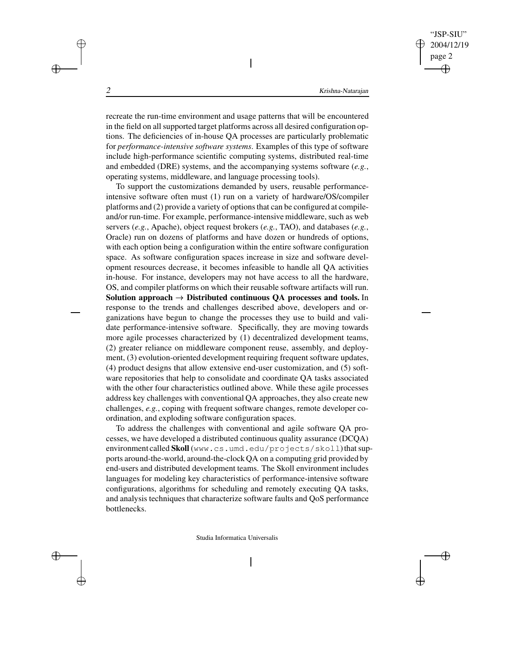recreate the run-time environment and usage patterns that will be encountered in the field on all supported target platforms across all desired configuration options. The deficiencies of in-house QA processes are particularly problematic for *performance-intensive software systems*. Examples of this type of software include high-performance scientific computing systems, distributed real-time and embedded (DRE) systems, and the accompanying systems software (*e.g.*, operating systems, middleware, and language processing tools).

 $\overline{\phantom{a}}$ 

To support the customizations demanded by users, reusable performanceintensive software often must (1) run on a variety of hardware/OS/compiler platforms and (2) provide a variety of options that can be configured at compileand/or run-time. For example, performance-intensivemiddleware, such as web servers (*e.g.*, Apache), object request brokers (*e.g.*, TAO), and databases (*e.g.*, Oracle) run on dozens of platforms and have dozen or hundreds of options, with each option being a configuration within the entire software configuration space. As software configuration spaces increase in size and software development resources decrease, it becomes infeasible to handle all QA activities in-house. For instance, developers may not have access to all the hardware, OS, and compiler platforms on which their reusable software artifacts will run. **Solution approach Distributed continuous QA processes and tools.** In response to the trends and challenges described above, developers and organizations have begun to change the processes they use to build and validate performance-intensive software. Specifically, they are moving towards more agile processes characterized by (1) decentralized development teams, (2) greater reliance on middleware component reuse, assembly, and deployment, (3) evolution-oriented development requiring frequent software updates, (4) product designs that allow extensive end-user customization, and (5) software repositories that help to consolidate and coordinate QA tasks associated with the other four characteristics outlined above. While these agile processes address key challenges with conventional QA approaches, they also create new challenges, *e.g.*, coping with frequent software changes, remote developer coordination, and exploding software configuration spaces.

To address the challenges with conventional and agile software QA processes, we have developed a distributed continuous quality assurance (DCQA) environment called Skoll (www.cs.umd.edu/projects/skoll)that supports around-the-world, around-the-clock QA on a computing grid provided by end-users and distributed development teams. The Skoll environment includes languages for modeling key characteristics of performance-intensive software configurations, algorithms for scheduling and remotely executing QA tasks, and analysis techniques that characterize software faults and QoS performance bottlenecks.

Studia Informatica Universalis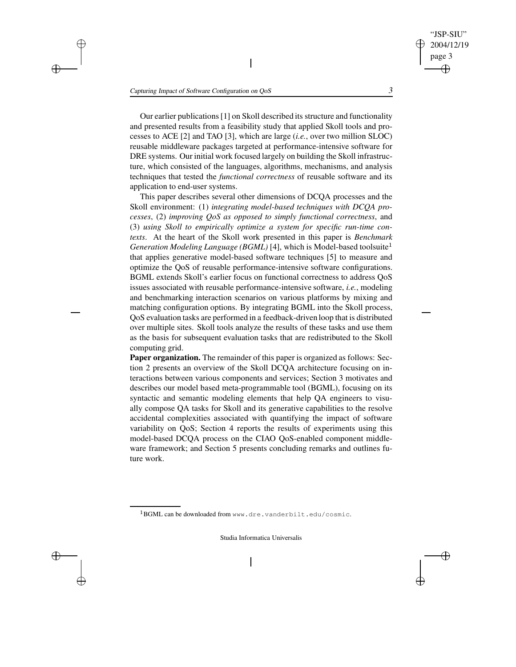"JSP-SIU" 2004/12/19 page 3

 $\oplus$ 

Our earlier publications[1] on Skoll described its structure and functionality and presented results from a feasibility study that applied Skoll tools and processes to ACE [2] and TAO [3], which are large (*i.e.*, over two million SLOC) reusable middleware packages targeted at performance-intensive software for DRE systems. Our initial work focused largely on building the Skoll infrastructure, which consisted of the languages, algorithms, mechanisms, and analysis techniques that tested the *functional correctness* of reusable software and its application to end-user systems.

 $\overline{\phantom{a}}$ 

This paper describes several other dimensions of DCQA processes and the Skoll environment: (1) *integrating model-based techniques with DCQA processes*, (2) *improving QoS as opposed to simply functional correctness*, and (3) *using Skoll to empirically optimize a system for specific run-time contexts*. At the heart of the Skoll work presented in this paper is *Benchmark Generation Modeling Language (BGML)* [4], which is Model-based toolsuite that applies generative model-based software techniques [5] to measure and optimize the QoS of reusable performance-intensive software configurations. BGML extends Skoll's earlier focus on functional correctness to address QoS issues associated with reusable performance-intensive software, *i.e.*, modeling and benchmarking interaction scenarios on various platforms by mixing and matching configuration options. By integrating BGML into the Skoll process, QoS evaluation tasks are performed in a feedback-driven loop that is distributed over multiple sites. Skoll tools analyze the results of these tasks and use them as the basis for subsequent evaluation tasks that are redistributed to the Skoll computing grid.

**Paper organization.** The remainder of this paper is organized as follows: Section 2 presents an overview of the Skoll DCQA architecture focusing on interactions between various components and services; Section 3 motivates and describes our model based meta-programmable tool (BGML), focusing on its syntactic and semantic modeling elements that help QA engineers to visually compose QA tasks for Skoll and its generative capabilities to the resolve accidental complexities associated with quantifying the impact of software variability on QoS; Section 4 reports the results of experiments using this model-based DCQA process on the CIAO QoS-enabled component middleware framework; and Section 5 presents concluding remarks and outlines future work.

 $^1$ BGML can be downloaded from www.dre.vanderbilt.edu/cosmic.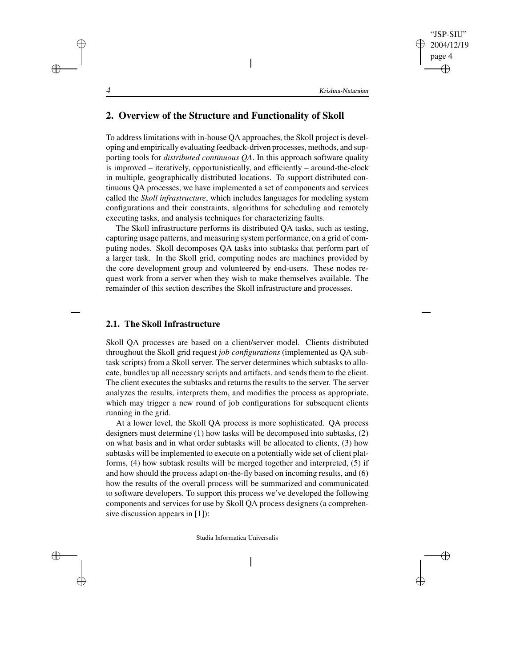# **2. Overview of the Structure and Functionality of Skoll**

To address limitations with in-house QA approaches, the Skoll project is developing and empirically evaluating feedback-driven processes, methods, and supporting tools for *distributed continuous QA*. In this approach software quality is improved – iteratively, opportunistically, and efficiently – around-the-clock in multiple, geographically distributed locations. To support distributed continuous QA processes, we have implemented a set of components and services called the *Skoll infrastructure*, which includes languages for modeling system configurations and their constraints, algorithms for scheduling and remotely executing tasks, and analysis techniques for characterizing faults.

 $\overline{\phantom{a}}$ 

The Skoll infrastructure performs its distributed QA tasks, such as testing, capturing usage patterns, and measuring system performance, on a grid of computing nodes. Skoll decomposes QA tasks into subtasks that perform part of a larger task. In the Skoll grid, computing nodes are machines provided by the core development group and volunteered by end-users. These nodes request work from a server when they wish to make themselves available. The remainder of this section describes the Skoll infrastructure and processes.

## **2.1. The Skoll Infrastructure**

Skoll QA processes are based on a client/server model. Clients distributed throughout the Skoll grid request *job configurations* (implemented as QA subtask scripts) from a Skoll server. The server determines which subtasks to allocate, bundles up all necessary scripts and artifacts, and sends them to the client. The client executes the subtasks and returns the results to the server. The server analyzes the results, interprets them, and modifies the process as appropriate, which may trigger a new round of job configurations for subsequent clients running in the grid.

At a lower level, the Skoll QA process is more sophisticated. QA process designers must determine (1) how tasks will be decomposed into subtasks, (2) on what basis and in what order subtasks will be allocated to clients, (3) how subtasks will be implemented to execute on a potentially wide set of client platforms, (4) how subtask results will be merged together and interpreted, (5) if and how should the process adapt on-the-fly based on incoming results, and (6) how the results of the overall process will be summarized and communicated to software developers. To support this process we've developed the following components and services for use by Skoll QA process designers (a comprehensive discussion appears in [1]):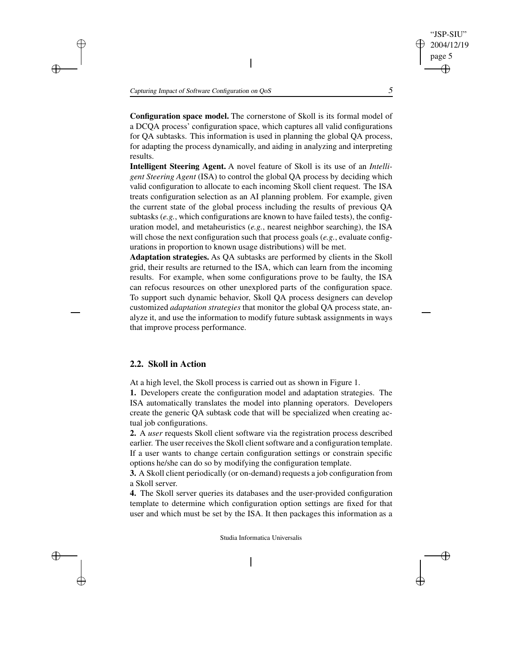"JSP-SIU"

**Configuration space model.** The cornerstone of Skoll is its formal model of a DCQA process' configuration space, which captures all valid configurations for QA subtasks. This information is used in planning the global QA process, for adapting the process dynamically, and aiding in analyzing and interpreting results.

 $\overline{\phantom{a}}$ 

**Intelligent Steering Agent.** A novel feature of Skoll is its use of an *Intelligent Steering Agent* (ISA) to control the global QA process by deciding which valid configuration to allocate to each incoming Skoll client request. The ISA treats configuration selection as an AI planning problem. For example, given the current state of the global process including the results of previous QA subtasks (*e.g.*, which configurations are known to have failed tests), the configuration model, and metaheuristics (*e.g.*, nearest neighbor searching), the ISA will chose the next configuration such that process goals (*e.g.*, evaluate configurations in proportion to known usage distributions) will be met.

**Adaptation strategies.** As QA subtasks are performed by clients in the Skoll grid, their results are returned to the ISA, which can learn from the incoming results. For example, when some configurations prove to be faulty, the ISA can refocus resources on other unexplored parts of the configuration space. To support such dynamic behavior, Skoll QA process designers can develop customized *adaptation strategies* that monitor the global QA process state, analyze it, and use the information to modify future subtask assignments in ways that improve process performance.

#### **2.2. Skoll in Action**

At a high level, the Skoll process is carried out as shown in Figure 1.

**1.** Developers create the configuration model and adaptation strategies. The ISA automatically translates the model into planning operators. Developers create the generic QA subtask code that will be specialized when creating actual job configurations.

**2.** A *user* requests Skoll client software via the registration process described earlier. The user receives the Skoll client software and a configuration template. If a user wants to change certain configuration settings or constrain specific options he/she can do so by modifying the configuration template.

**3.** A Skoll client periodically (or on-demand) requests a job configuration from a Skoll server.

**4.** The Skoll server queries its databases and the user-provided configuration template to determine which configuration option settings are fixed for that user and which must be set by the ISA. It then packages this information as a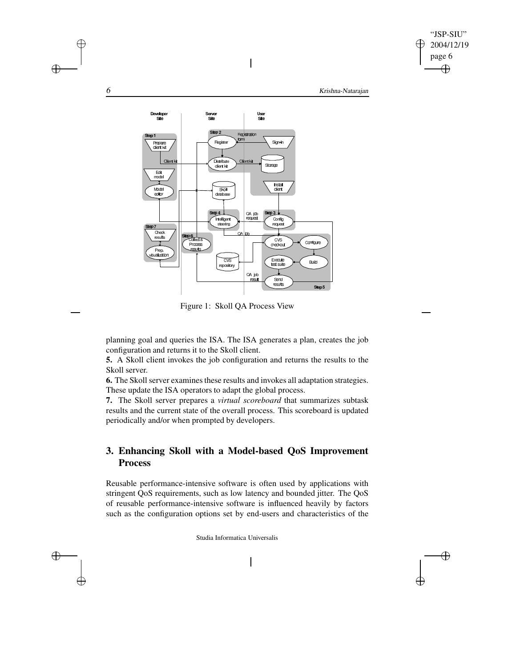

Æ



 $\mathbf{I}$ 



planning goal and queries the ISA. The ISA generates a plan, creates the job configuration and returns it to the Skoll client.

**5.** A Skoll client invokes the job configuration and returns the results to the Skoll server.

**6.** The Skoll server examines these results and invokes all adaptation strategies. These update the ISA operators to adapt the global process.

**7.** The Skoll server prepares a *virtual scoreboard* that summarizes subtask results and the current state of the overall process. This scoreboard is updated periodically and/or when prompted by developers.

# **3. Enhancing Skoll with a Model-based QoS Improvement Process**

Reusable performance-intensive software is often used by applications with stringent QoS requirements, such as low latency and bounded jitter. The QoS of reusable performance-intensive software is influenced heavily by factors such as the configuration options set by end-users and characteristics of the

Studia Informatica Universalis

 $\overline{\phantom{a}}$ 

 $\bigoplus$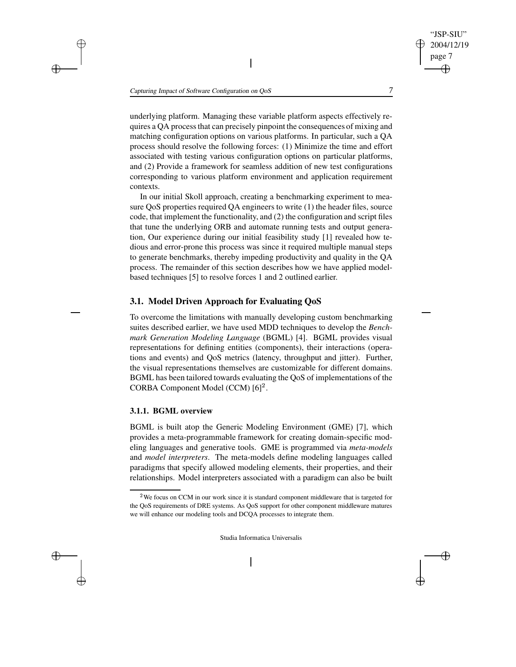underlying platform. Managing these variable platform aspects effectively requires a QA processthat can precisely pinpoint the consequences of mixing and matching configuration options on various platforms. In particular, such a QA process should resolve the following forces: (1) Minimize the time and effort associated with testing various configuration options on particular platforms, and (2) Provide a framework for seamless addition of new test configurations corresponding to various platform environment and application requirement contexts.

 $\overline{\phantom{a}}$ 

In our initial Skoll approach, creating a benchmarking experiment to measure QoS properties required QA engineers to write (1) the header files, source code, that implement the functionality, and (2) the configuration and script files that tune the underlying ORB and automate running tests and output generation, Our experience during our initial feasibility study [1] revealed how tedious and error-prone this process was since it required multiple manual steps to generate benchmarks, thereby impeding productivity and quality in the QA process. The remainder of this section describes how we have applied modelbased techniques [5] to resolve forces 1 and 2 outlined earlier.

### **3.1. Model Driven Approach for Evaluating QoS**

To overcome the limitations with manually developing custom benchmarking suites described earlier, we have used MDD techniques to develop the *Benchmark Generation Modeling Language* (BGML) [4]. BGML provides visual representations for defining entities (components), their interactions (operations and events) and QoS metrics (latency, throughput and jitter). Further, the visual representations themselves are customizable for different domains. BGML has been tailored towards evaluating the QoS of implementations of the CORBA Component Model (CCM) [6] .

#### **3.1.1. BGML overview**

BGML is built atop the Generic Modeling Environment (GME) [7], which provides a meta-programmable framework for creating domain-specific modeling languages and generative tools. GME is programmed via *meta-models* and *model interpreters*. The meta-models define modeling languages called paradigms that specify allowed modeling elements, their properties, and their relationships. Model interpreters associated with a paradigm can also be built

Studia Informatica Universalis

"JSP-SIU" 2004/12/19 page 7

<sup>&</sup>lt;sup>2</sup>We focus on CCM in our work since it is standard component middleware that is targeted for the QoS requirements of DRE systems. As QoS support for other component middleware matures we will enhance our modeling tools and DCQA processes to integrate them.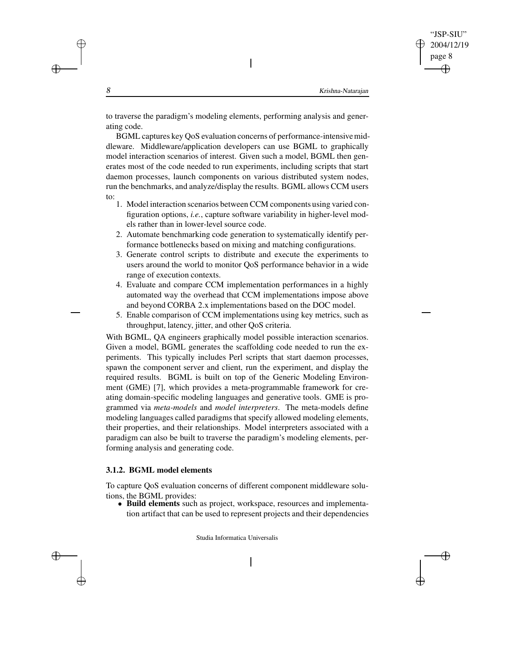to traverse the paradigm's modeling elements, performing analysis and generating code.

 $\overline{\phantom{a}}$ 

BGML captures key QoS evaluation concerns of performance-intensivemiddleware. Middleware/application developers can use BGML to graphically model interaction scenarios of interest. Given such a model, BGML then generates most of the code needed to run experiments, including scripts that start daemon processes, launch components on various distributed system nodes, run the benchmarks, and analyze/display the results. BGML allows CCM users to:

- 1. Model interaction scenarios between CCM components using varied configuration options, *i.e.*, capture software variability in higher-level models rather than in lower-level source code.
- 2. Automate benchmarking code generation to systematically identify performance bottlenecks based on mixing and matching configurations.
- 3. Generate control scripts to distribute and execute the experiments to users around the world to monitor QoS performance behavior in a wide range of execution contexts.
- 4. Evaluate and compare CCM implementation performances in a highly automated way the overhead that CCM implementations impose above and beyond CORBA 2.x implementations based on the DOC model.
- 5. Enable comparison of CCM implementations using key metrics, such as throughput, latency, jitter, and other QoS criteria.

With BGML, QA engineers graphically model possible interaction scenarios. Given a model, BGML generates the scaffolding code needed to run the experiments. This typically includes Perl scripts that start daemon processes, spawn the component server and client, run the experiment, and display the required results. BGML is built on top of the Generic Modeling Environment (GME) [7], which provides a meta-programmable framework for creating domain-specific modeling languages and generative tools. GME is programmed via *meta-models* and *model interpreters*. The meta-models define modeling languages called paradigms that specify allowed modeling elements, their properties, and their relationships. Model interpreters associated with a paradigm can also be built to traverse the paradigm's modeling elements, performing analysis and generating code.

#### **3.1.2. BGML model elements**

To capture QoS evaluation concerns of different component middleware solutions, the BGML provides:

 **Build elements** such as project, workspace, resources and implementation artifact that can be used to represent projects and their dependencies

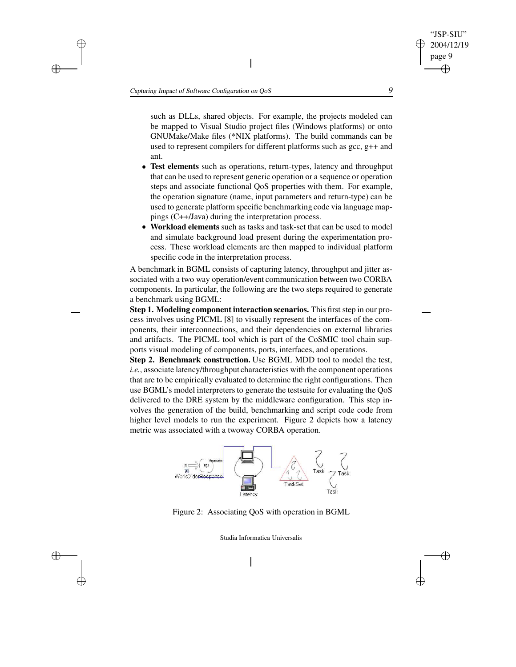$\overline{\phantom{a}}$ 

such as DLLs, shared objects. For example, the projects modeled can be mapped to Visual Studio project files (Windows platforms) or onto GNUMake/Make files (\*NIX platforms). The build commands can be used to represent compilers for different platforms such as gcc, g++ and ant.

- **Test elements** such as operations, return-types, latency and throughput that can be used to represent generic operation or a sequence or operation steps and associate functional QoS properties with them. For example, the operation signature (name, input parameters and return-type) can be used to generate platform specific benchmarking code via language mappings (C++/Java) during the interpretation process.
- **Workload elements** such as tasks and task-set that can be used to model and simulate background load present during the experimentation process. These workload elements are then mapped to individual platform specific code in the interpretation process.

A benchmark in BGML consists of capturing latency, throughput and jitter associated with a two way operation/event communication between two CORBA components. In particular, the following are the two steps required to generate a benchmark using BGML:

**Step 1. Modeling component interaction scenarios.** This first step in our process involves using PICML [8] to visually represent the interfaces of the components, their interconnections, and their dependencies on external libraries and artifacts. The PICML tool which is part of the CoSMIC tool chain supports visual modeling of components, ports, interfaces, and operations.

**Step 2. Benchmark construction.** Use BGML MDD tool to model the test, *i.e.*, associate latency/throughput characteristics with the component operations that are to be empirically evaluated to determine the right configurations. Then use BGML's model interpreters to generate the testsuite for evaluating the QoS delivered to the DRE system by the middleware configuration. This step involves the generation of the build, benchmarking and script code code from higher level models to run the experiment. Figure 2 depicts how a latency metric was associated with a twoway CORBA operation.





Studia Informatica Universalis



"JSP-SIU" 2004/12/19 page 9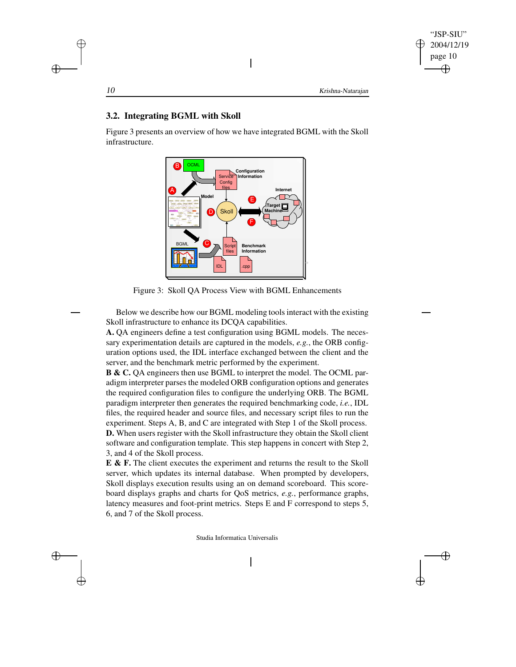## **3.2. Integrating BGML with Skoll**

Figure 3 presents an overview of how we have integrated BGML with the Skoll infrastructure.

 $\overline{\phantom{a}}$ 



Figure 3: Skoll QA Process View with BGML Enhancements

Below we describe how our BGML modeling tools interact with the existing Skoll infrastructure to enhance its DCQA capabilities.

**A.** QA engineers define a test configuration using BGML models. The necessary experimentation details are captured in the models, *e.g.*, the ORB configuration options used, the IDL interface exchanged between the client and the server, and the benchmark metric performed by the experiment.

**B & C.** QA engineers then use BGML to interpret the model. The OCML paradigm interpreter parses the modeled ORB configuration options and generates the required configuration files to configure the underlying ORB. The BGML paradigm interpreter then generates the required benchmarking code, *i.e.*, IDL files, the required header and source files, and necessary script files to run the experiment. Steps A, B, and C are integrated with Step 1 of the Skoll process. **D.** When users register with the Skoll infrastructure they obtain the Skoll client software and configuration template. This step happens in concert with Step 2, 3, and 4 of the Skoll process.

**E & F.** The client executes the experiment and returns the result to the Skoll server, which updates its internal database. When prompted by developers, Skoll displays execution results using an on demand scoreboard. This scoreboard displays graphs and charts for QoS metrics, *e.g.*, performance graphs, latency measures and foot-print metrics. Steps E and F correspond to steps 5, 6, and 7 of the Skoll process.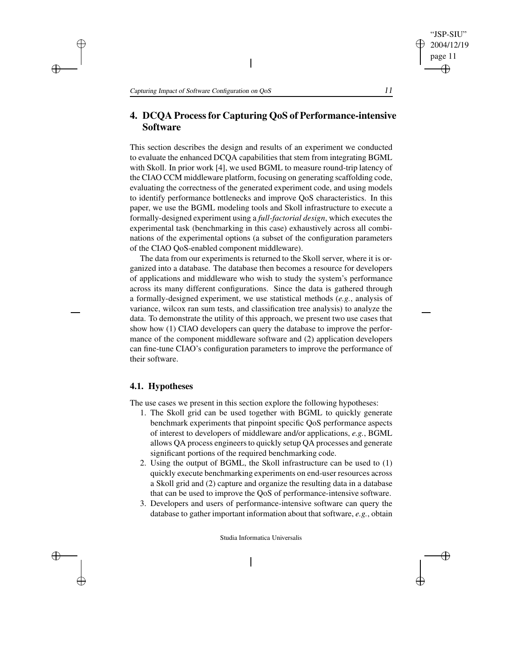# **4. DCQA Processfor Capturing QoS of Performance-intensive Software**

 $\overline{\phantom{a}}$ 

This section describes the design and results of an experiment we conducted to evaluate the enhanced DCQA capabilities that stem from integrating BGML with Skoll. In prior work [4], we used BGML to measure round-trip latency of the CIAO CCM middleware platform, focusing on generating scaffolding code, evaluating the correctness of the generated experiment code, and using models to identify performance bottlenecks and improve QoS characteristics. In this paper, we use the BGML modeling tools and Skoll infrastructure to execute a formally-designed experiment using a *full-factorial design*, which executes the experimental task (benchmarking in this case) exhaustively across all combinations of the experimental options (a subset of the configuration parameters of the CIAO QoS-enabled component middleware).

The data from our experiments is returned to the Skoll server, where it is organized into a database. The database then becomes a resource for developers of applications and middleware who wish to study the system's performance across its many different configurations. Since the data is gathered through a formally-designed experiment, we use statistical methods (*e.g.*, analysis of variance, wilcox ran sum tests, and classification tree analysis) to analyze the data. To demonstrate the utility of this approach, we present two use cases that show how (1) CIAO developers can query the database to improve the performance of the component middleware software and (2) application developers can fine-tune CIAO's configuration parameters to improve the performance of their software.

#### **4.1. Hypotheses**

The use cases we present in this section explore the following hypotheses:

- 1. The Skoll grid can be used together with BGML to quickly generate benchmark experiments that pinpoint specific QoS performance aspects of interest to developers of middleware and/or applications, *e.g.*, BGML allows QA process engineersto quickly setup QA processes and generate significant portions of the required benchmarking code.
- 2. Using the output of BGML, the Skoll infrastructure can be used to (1) quickly execute benchmarking experiments on end-user resources across a Skoll grid and (2) capture and organize the resulting data in a database that can be used to improve the QoS of performance-intensive software.
- 3. Developers and users of performance-intensive software can query the database to gather important information about that software, *e.g.*, obtain

Studia Informatica Universalis

 $\overline{\phantom{a}}$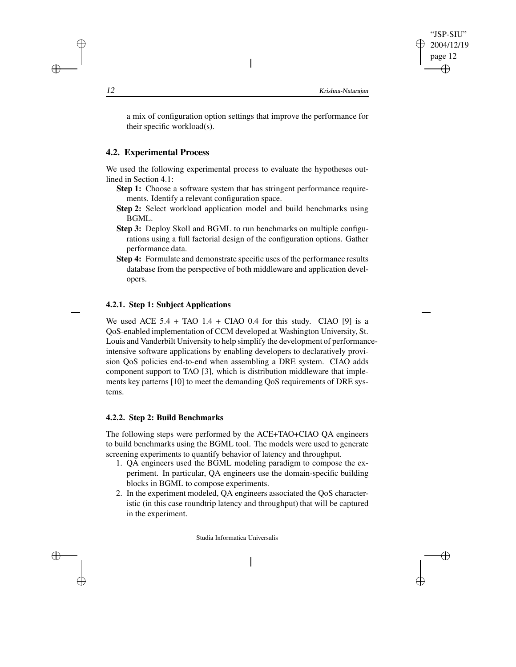a mix of configuration option settings that improve the performance for their specific workload(s).

 $\overline{\phantom{a}}$ 

# **4.2. Experimental Process**

We used the following experimental process to evaluate the hypotheses outlined in Section 4.1:

- **Step 1:** Choose a software system that has stringent performance requirements. Identify a relevant configuration space.
- **Step 2:** Select workload application model and build benchmarks using BGML.
- **Step 3:** Deploy Skoll and BGML to run benchmarks on multiple configurations using a full factorial design of the configuration options. Gather performance data.
- **Step 4:** Formulate and demonstrate specific uses of the performance results database from the perspective of both middleware and application developers.

# **4.2.1. Step 1: Subject Applications**

We used ACE  $5.4 + TAO$   $1.4 + CIAO$   $0.4$  for this study. CIAO [9] is a QoS-enabled implementation of CCM developed at Washington University, St. Louis and Vanderbilt University to help simplify the development of performanceintensive software applications by enabling developers to declaratively provision QoS policies end-to-end when assembling a DRE system. CIAO adds component support to TAO [3], which is distribution middleware that implements key patterns [10] to meet the demanding QoS requirements of DRE systems.

#### **4.2.2. Step 2: Build Benchmarks**

The following steps were performed by the ACE+TAO+CIAO QA engineers to build benchmarks using the BGML tool. The models were used to generate screening experiments to quantify behavior of latency and throughput.

- 1. QA engineers used the BGML modeling paradigm to compose the experiment. In particular, QA engineers use the domain-specific building blocks in BGML to compose experiments.
- 2. In the experiment modeled, QA engineers associated the QoS characteristic (in this case roundtrip latency and throughput) that will be captured in the experiment.

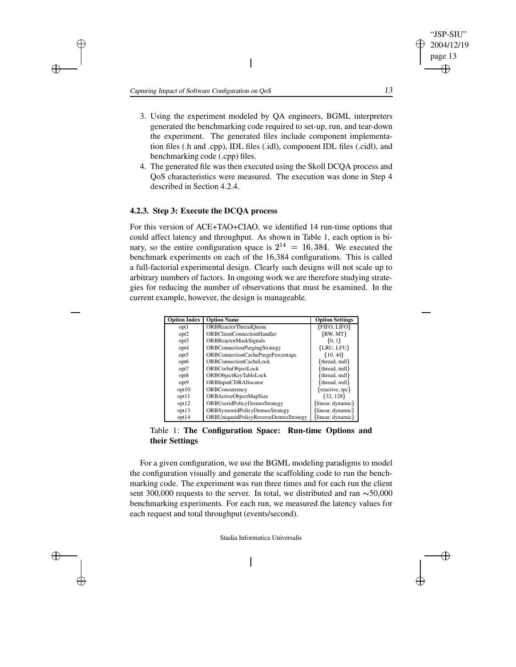3. Using the experiment modeled by QA engineers, BGML interpreters generated the benchmarking code required to set-up, run, and tear-down the experiment. The generated files include component implementation files (.h and .cpp), IDL files (.idl), component IDL files (.cidl), and benchmarking code (.cpp) files.

 $\overline{\phantom{a}}$ 

4. The generated file was then executed using the Skoll DCQA process and QoS characteristics were measured. The execution was done in Step 4 described in Section 4.2.4.

#### **4.2.3. Step 3: Execute the DCQA process**

For this version of ACE+TAO+CIAO, we identified 14 run-time options that could affect latency and throughput. As shown in Table 1, each option is binary, so the entire configuration space is  $2^{14} = 16,384$ . We executed the benchmark experiments on each of the 16,384 configurations. This is called a full-factorial experimental design. Clearly such designs will not scale up to arbitrary numbers of factors. In ongoing work we are therefore studying strategies for reducing the number of observations that must be examined. In the current example, however, the design is manageable.

| <b>Option Index</b> | <b>Option Name</b>                    | <b>Option Settings</b> |
|---------------------|---------------------------------------|------------------------|
| opt1                | <b>ORBReactorThreadQueue</b>          | <b>{FIFO, LIFO}</b>    |
| opt <sub>2</sub>    | ORBClientConnectionHandler            | $\{RW, MT\}$           |
| opt3                | <b>ORBReactorMaskSignals</b>          | $\{0, 1\}$             |
| opt4                | <b>ORBConnectionPurgingStrategy</b>   | $\{LRU, LFU\}$         |
| opt5                | ORBConnectionCachePurgePercentage     | $\{10, 40\}$           |
| opt6                | ORBConnectionCacheLock                | {thread, null}         |
| opt7                | ORBCorbaObjectLock                    | thread, null           |
| opt8                | ORBObjectKeyTableLock                 | {thread, null}         |
| opt9                | <b>ORBInputCDRAllocator</b>           | thread, null           |
| opt10               | ORBConcurrency                        | {reactive, tpc}        |
| opt11               | ORBActiveObjectMapSize                | $\{32, 128\}$          |
| opt12               | ORBUseridPolicyDemuxStrategy          | {linear, dynamic}      |
| opt13               | ORBSystemidPolicyDemuxStrategy        | linear, dynamic        |
| opt14               | ORBUniqueidPolicyReverseDemuxStrategy | linear, dynamic        |

Table 1: **The Configuration Space: Run-time Options and their Settings**

For a given configuration, we use the BGML modeling paradigms to model the configuration visually and generate the scaffolding code to run the benchmarking code. The experiment was run three times and for each run the client sent 300,000 requests to the server. In total, we distributed and ran  $\sim$  50,000 benchmarking experiments. For each run, we measured the latency values for each request and total throughput (events/second).

Studia Informatica Universalis

 $\overline{\phantom{a}}$ 

"JSP-SIU" 2004/12/19 page 13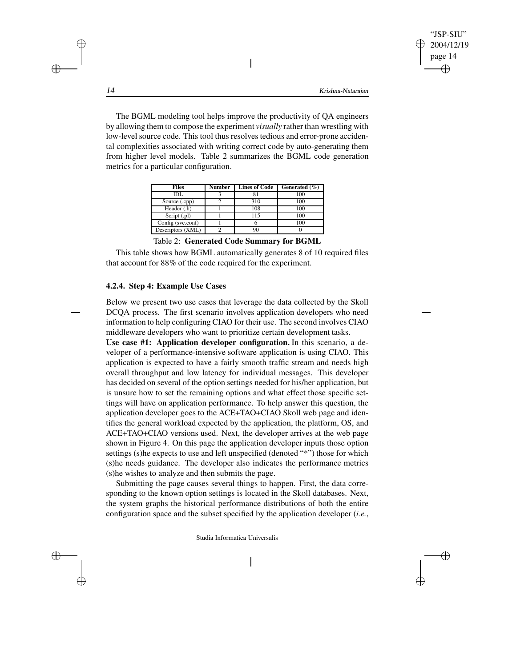The BGML modeling tool helps improve the productivity of QA engineers by allowing them to compose the experiment *visually* rather than wrestling with low-level source code. This tool thus resolves tedious and error-prone accidental complexities associated with writing correct code by auto-generating them from higher level models. Table 2 summarizes the BGML code generation metrics for a particular configuration.

 $\overline{\phantom{a}}$ 

| Files             | Number | <b>Lines of Code</b> | Generated $(\% )$ |
|-------------------|--------|----------------------|-------------------|
| IDL               |        |                      | 100               |
| Source (.cpp)     |        | 310                  | 100               |
| Header (.h)       |        | 108                  | 100               |
| Script (.pl)      |        | 115                  | 100               |
| Config (svc.conf) |        |                      | 100               |
| Descriptors (XML) |        |                      |                   |

Table 2: **Generated Code Summary for BGML**

This table shows how BGML automatically generates 8 of 10 required files that account for 88% of the code required for the experiment.

#### **4.2.4. Step 4: Example Use Cases**

Below we present two use cases that leverage the data collected by the Skoll DCQA process. The first scenario involves application developers who need information to help configuring CIAO for their use. The second involves CIAO middleware developers who want to prioritize certain development tasks.

**Use case #1: Application developer configuration.** In this scenario, a developer of a performance-intensive software application is using CIAO. This application is expected to have a fairly smooth traffic stream and needs high overall throughput and low latency for individual messages. This developer has decided on several of the option settings needed for his/her application, but is unsure how to set the remaining options and what effect those specific settings will have on application performance. To help answer this question, the application developer goes to the ACE+TAO+CIAO Skoll web page and identifies the general workload expected by the application, the platform, OS, and ACE+TAO+CIAO versions used. Next, the developer arrives at the web page shown in Figure 4. On this page the application developer inputs those option settings (s)he expects to use and left unspecified (denoted "\*") those for which (s)he needs guidance. The developer also indicates the performance metrics (s)he wishes to analyze and then submits the page.

Submitting the page causes several things to happen. First, the data corresponding to the known option settings is located in the Skoll databases. Next, the system graphs the historical performance distributions of both the entire configuration space and the subset specified by the application developer (*i.e.*,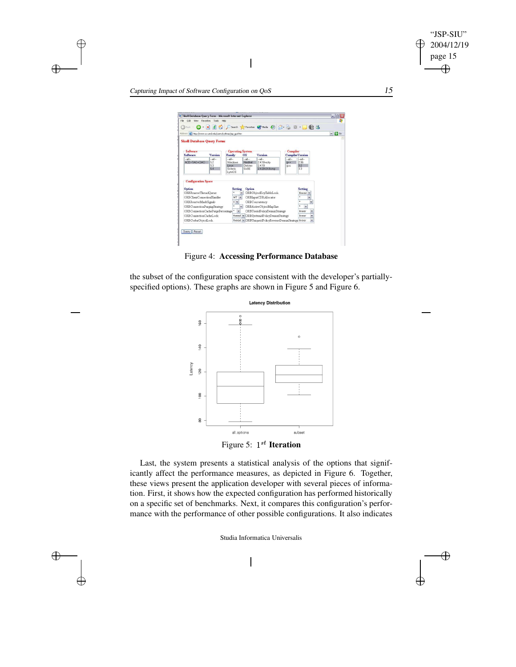



 $\nightharpoonup$  ORBU<sub>r</sub>

Query Reset

 $\oplus$ 

 $\bigoplus$ 

 $\bigoplus$ 

 $\oplus$ 

the subset of the configuration space consistent with the developer's partiallyspecified options). These graphs are shown in Figure 5 and Figure 6.



Last, the system presents a statistical analysis of the options that significantly affect the performance measures, as depicted in Figure 6. Together, these views present the application developer with several pieces of information. First, it shows how the expected configuration has performed historically on a specific set of benchmarks. Next, it compares this configuration's performance with the performance of other possible configurations. It also indicates

Studia Informatica Universalis

 $\overline{\phantom{a}}$ 

 $\oplus$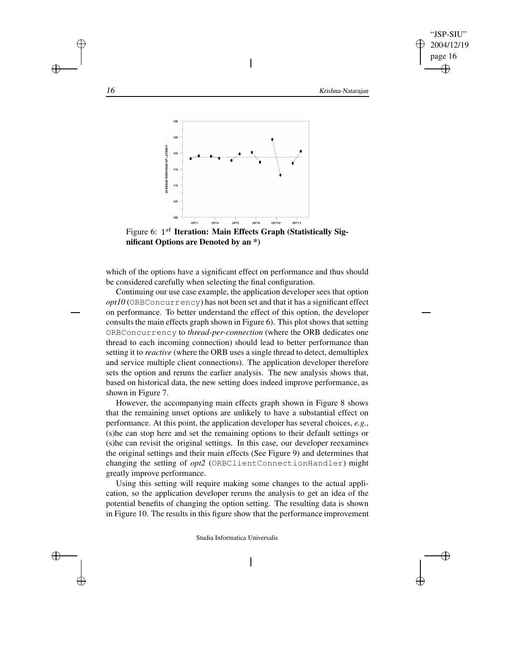16 Krishna-Natarajan



 $\overline{\phantom{a}}$ 



which of the options have a significant effect on performance and thus should be considered carefully when selecting the final configuration.

Continuing our use case example, the application developer sees that option *opt10* (ORBConcurrency) has not been set and that it has a significant effect on performance. To better understand the effect of this option, the developer consults the main effects graph shown in Figure 6). This plot shows that setting ORBConcurrency to *thread-per-connection* (where the ORB dedicates one thread to each incoming connection) should lead to better performance than setting it to *reactive* (where the ORB uses a single thread to detect, demultiplex and service multiple client connections). The application developer therefore sets the option and reruns the earlier analysis. The new analysis shows that, based on historical data, the new setting does indeed improve performance, as shown in Figure 7.

However, the accompanying main effects graph shown in Figure 8 shows that the remaining unset options are unlikely to have a substantial effect on performance. At this point, the application developer has several choices, *e.g.*, (s)he can stop here and set the remaining options to their default settings or (s)he can revisit the original settings. In this case, our developer reexamines the original settings and their main effects (See Figure 9) and determines that changing the setting of *opt2* (ORBClientConnectionHandler) might greatly improve performance.

Using this setting will require making some changes to the actual application, so the application developer reruns the analysis to get an idea of the potential benefits of changing the option setting. The resulting data is shown in Figure 10. The results in this figure show that the performance improvement

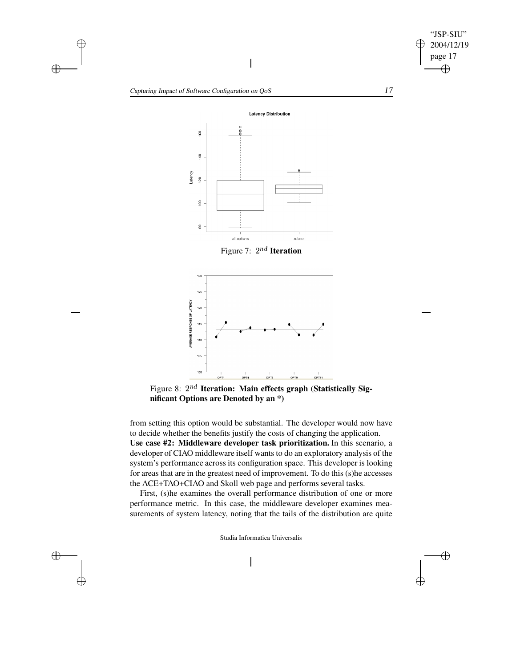

 $\oplus$ 

Capturing Impact of Software Configuration on QoS 17

 $\oplus$ 

 $\bigoplus$ 

 $\bigoplus$ 

 $\oplus$ 



 $\overline{\phantom{a}}$ 



Figure 8:  $2^{nd}$  Iteration: Main effects graph (Statistically Sig**nificant Options are Denoted by an \*)**

from setting this option would be substantial. The developer would now have to decide whether the benefits justify the costs of changing the application. **Use case #2: Middleware developer task prioritization.** In this scenario, a developer of CIAO middleware itself wants to do an exploratory analysis of the system's performance across its configuration space. This developer is looking for areas that are in the greatest need of improvement. To do this (s)he accesses the ACE+TAO+CIAO and Skoll web page and performs several tasks.

First, (s)he examines the overall performance distribution of one or more performance metric. In this case, the middleware developer examines measurements of system latency, noting that the tails of the distribution are quite

Studia Informatica Universalis

 $\overline{\phantom{a}}$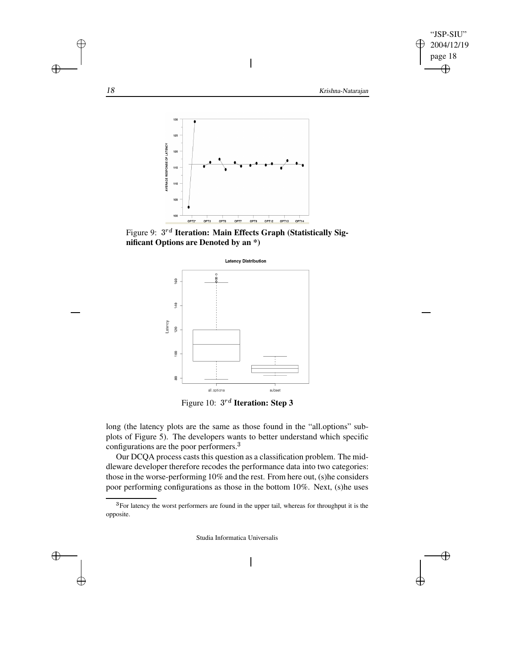

Figure 9:  $3^{rd}$  Iteration: Main Effects Graph (Statistically Sig**nificant Options are Denoted by an \*)**

OPT7

OPT8

OPT12 OPT13 OPT14

OPT3 OPT6

OPT2\*

100



Figure 10:  $3^{rd}$  **Iteration: Step 3** 

long (the latency plots are the same as those found in the "all.options" subplots of Figure 5). The developers wants to better understand which specific configurations are the poor performers.<sup>3</sup>

Our DCQA process casts this question as a classification problem. The middleware developer therefore recodes the performance data into two categories: those in the worse-performing 10% and the rest. From here out, (s)he considers poor performing configurations as those in the bottom 10%. Next, (s)he uses

Studia Informatica Universalis

 $\bigoplus$ 

 $\oplus$ 



 $\oplus$ 

<sup>&</sup>lt;sup>3</sup> For latency the worst performers are found in the upper tail, whereas for throughput it is the opposite.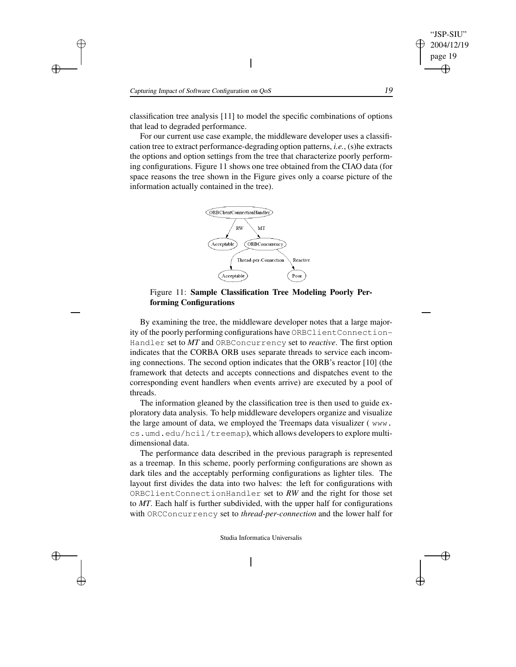classification tree analysis [11] to model the specific combinations of options that lead to degraded performance.

For our current use case example, the middleware developer uses a classification tree to extract performance-degrading option patterns, *i.e.*, (s)he extracts the options and option settings from the tree that characterize poorly performing configurations. Figure 11 shows one tree obtained from the CIAO data (for space reasons the tree shown in the Figure gives only a coarse picture of the information actually contained in the tree).



Figure 11: **Sample Classification Tree Modeling Poorly Performing Configurations**

By examining the tree, the middleware developer notes that a large majority of the poorly performing configurations have ORBClientConnection-Handler set to *MT* and ORBConcurrency set to *reactive*. The first option indicates that the CORBA ORB uses separate threads to service each incoming connections. The second option indicates that the ORB's reactor [10] (the framework that detects and accepts connections and dispatches event to the corresponding event handlers when events arrive) are executed by a pool of threads.

The information gleaned by the classification tree is then used to guide exploratory data analysis. To help middleware developers organize and visualize the large amount of data, we employed the Treemaps data visualizer ( www. cs.umd.edu/hcil/treemap), which allows developers to explore multidimensional data.

The performance data described in the previous paragraph is represented as a treemap. In this scheme, poorly performing configurations are shown as dark tiles and the acceptably performing configurations as lighter tiles. The layout first divides the data into two halves: the left for configurations with ORBClientConnectionHandler set to *RW* and the right for those set to *MT*. Each half is further subdivided, with the upper half for configurations with ORCConcurrency set to *thread-per-connection* and the lower half for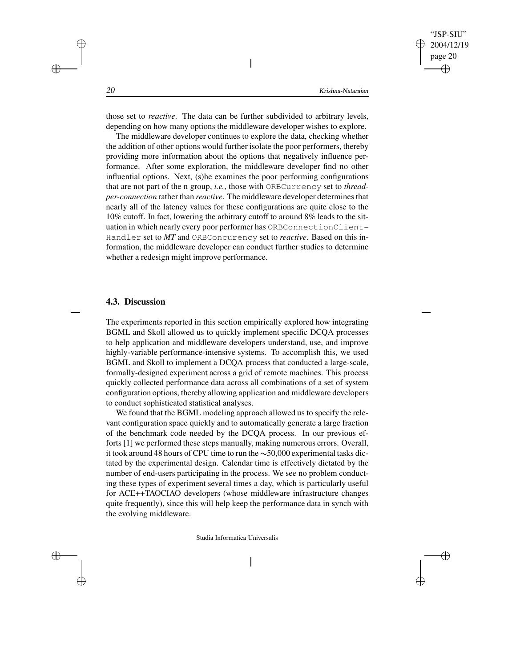those set to *reactive*. The data can be further subdivided to arbitrary levels, depending on how many options the middleware developer wishes to explore.

 $\overline{\phantom{a}}$ 

The middleware developer continues to explore the data, checking whether the addition of other options would further isolate the poor performers, thereby providing more information about the options that negatively influence performance. After some exploration, the middleware developer find no other influential options. Next, (s)he examines the poor performing configurations that are not part of the n group, *i.e.*, those with ORBCurrency set to *threadper-connection* rather than *reactive*. The middleware developer determines that nearly all of the latency values for these configurations are quite close to the 10% cutoff. In fact, lowering the arbitrary cutoff to around 8% leads to the situation in which nearly every poor performer has ORBConnectionClient-Handler set to *MT* and ORBConcurency set to *reactive*. Based on this information, the middleware developer can conduct further studies to determine whether a redesign might improve performance.

#### **4.3. Discussion**

The experiments reported in this section empirically explored how integrating BGML and Skoll allowed us to quickly implement specific DCQA processes to help application and middleware developers understand, use, and improve highly-variable performance-intensive systems. To accomplish this, we used BGML and Skoll to implement a DCQA process that conducted a large-scale, formally-designed experiment across a grid of remote machines. This process quickly collected performance data across all combinations of a set of system configuration options, thereby allowing application and middleware developers to conduct sophisticated statistical analyses.

We found that the BGML modeling approach allowed us to specify the relevant configuration space quickly and to automatically generate a large fraction of the benchmark code needed by the DCQA process. In our previous efforts [1] we performed these steps manually, making numerous errors. Overall, it took around 48 hours of CPU time to run the  $\sim$  50,000 experimental tasks dictated by the experimental design. Calendar time is effectively dictated by the number of end-users participating in the process. We see no problem conducting these types of experiment several times a day, which is particularly useful for ACE++TAOCIAO developers (whose middleware infrastructure changes quite frequently), since this will help keep the performance data in synch with the evolving middleware.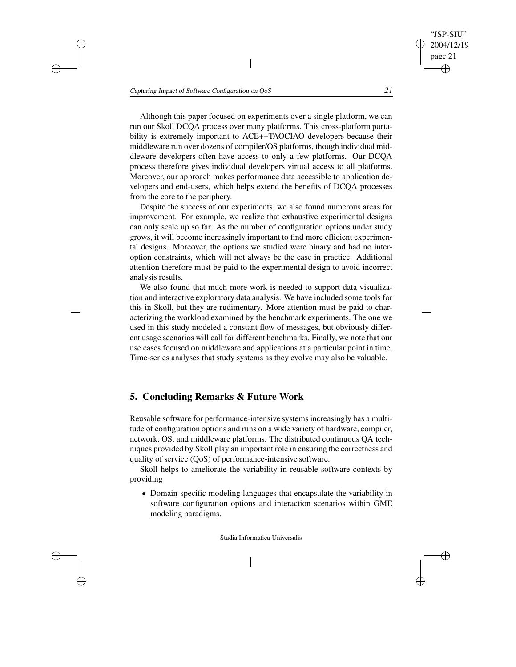Although this paper focused on experiments over a single platform, we can run our Skoll DCQA process over many platforms. This cross-platform portability is extremely important to ACE++TAOCIAO developers because their middleware run over dozens of compiler/OS platforms, though individual middleware developers often have access to only a few platforms. Our DCQA process therefore gives individual developers virtual access to all platforms. Moreover, our approach makes performance data accessible to application developers and end-users, which helps extend the benefits of DCQA processes from the core to the periphery.

 $\overline{\phantom{a}}$ 

Despite the success of our experiments, we also found numerous areas for improvement. For example, we realize that exhaustive experimental designs can only scale up so far. As the number of configuration options under study grows, it will become increasingly important to find more efficient experimental designs. Moreover, the options we studied were binary and had no interoption constraints, which will not always be the case in practice. Additional attention therefore must be paid to the experimental design to avoid incorrect analysis results.

We also found that much more work is needed to support data visualization and interactive exploratory data analysis. We have included some tools for this in Skoll, but they are rudimentary. More attention must be paid to characterizing the workload examined by the benchmark experiments. The one we used in this study modeled a constant flow of messages, but obviously different usage scenarios will call for different benchmarks. Finally, we note that our use cases focused on middleware and applications at a particular point in time. Time-series analyses that study systems as they evolve may also be valuable.

# **5. Concluding Remarks & Future Work**

Reusable software for performance-intensive systems increasingly has a multitude of configuration options and runs on a wide variety of hardware, compiler, network, OS, and middleware platforms. The distributed continuous QA techniques provided by Skoll play an important role in ensuring the correctness and quality of service (QoS) of performance-intensive software.

Skoll helps to ameliorate the variability in reusable software contexts by providing

 Domain-specific modeling languages that encapsulate the variability in software configuration options and interaction scenarios within GME modeling paradigms.

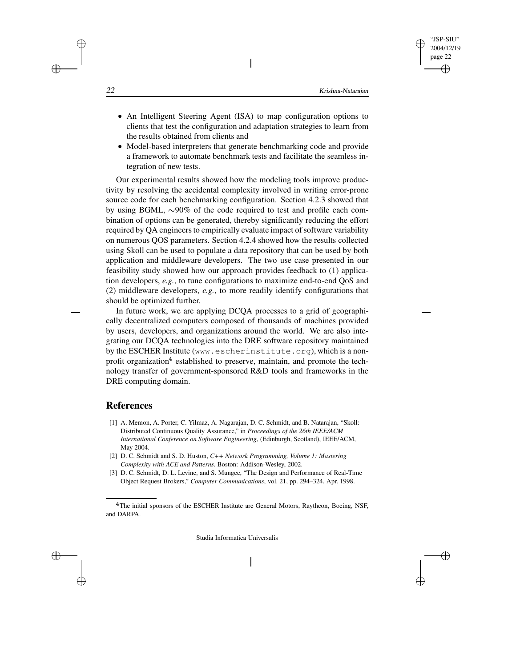An Intelligent Steering Agent (ISA) to map configuration options to clients that test the configuration and adaptation strategies to learn from the results obtained from clients and

 $\overline{\phantom{a}}$ 

 Model-based interpreters that generate benchmarking code and provide a framework to automate benchmark tests and facilitate the seamless integration of new tests.

Our experimental results showed how the modeling tools improve productivity by resolving the accidental complexity involved in writing error-prone source code for each benchmarking configuration. Section 4.2.3 showed that by using BGML,  $\sim$ 90% of the code required to test and profile each combination of options can be generated, thereby significantly reducing the effort required by QA engineers to empirically evaluate impact of software variability on numerous QOS parameters. Section 4.2.4 showed how the results collected using Skoll can be used to populate a data repository that can be used by both application and middleware developers. The two use case presented in our feasibility study showed how our approach provides feedback to (1) application developers, *e.g.*, to tune configurations to maximize end-to-end QoS and (2) middleware developers, *e.g.*, to more readily identify configurations that should be optimized further.

In future work, we are applying DCQA processes to a grid of geographically decentralized computers composed of thousands of machines provided by users, developers, and organizations around the world. We are also integrating our DCQA technologies into the DRE software repository maintained by the ESCHER Institute (www.escherinstitute.org), which is a nonprofit organization<sup>4</sup> established to preserve, maintain, and promote the technology transfer of government-sponsored R&D tools and frameworks in the DRE computing domain.

### **References**

- [1] A. Memon, A. Porter, C. Yilmaz, A. Nagarajan, D. C. Schmidt, and B. Natarajan, "Skoll: Distributed Continuous Quality Assurance," in *Proceedings of the 26th IEEE/ACM International Conference on Software Engineering*, (Edinburgh, Scotland), IEEE/ACM, May 2004.
- [2] D. C. Schmidt and S. D. Huston, *C++ Network Programming, Volume 1: Mastering Complexity with ACE and Patterns*. Boston: Addison-Wesley, 2002.
- [3] D. C. Schmidt, D. L. Levine, and S. Mungee, "The Design and Performance of Real-Time Object Request Brokers," *Computer Communications*, vol. 21, pp. 294–324, Apr. 1998.

Studia Informatica Universalis



<sup>&</sup>lt;sup>4</sup>The initial sponsors of the ESCHER Institute are General Motors, Raytheon, Boeing, NSF, and DARPA.